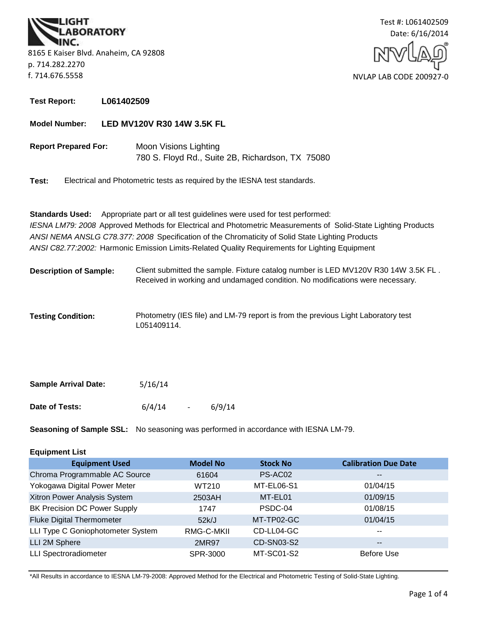**BORATORY** 8165 E Kaiser Blvd. Anaheim, CA 92808 p. 714.282.2270 f. 714.676.5558



**Test Report: L061402509**

**Model Number: LED MV120V R30 14W 3.5K FL**

**Report Prepared For:** Moon Visions Lighting 780 S. Floyd Rd., Suite 2B, Richardson, TX 75080

**Test:** Electrical and Photometric tests as required by the IESNA test standards.

**Standards Used:** Appropriate part or all test guidelines were used for test performed: *IESNA LM79: 2008* Approved Methods for Electrical and Photometric Measurements of Solid-State Lighting Products *ANSI NEMA ANSLG C78.377: 2008* Specification of the Chromaticity of Solid State Lighting Products *ANSI C82.77:2002:* Harmonic Emission Limits-Related Quality Requirements for Lighting Equipment

- **Description of Sample:** Client submitted the sample. Fixture catalog number is LED MV120V R30 14W 3.5K FL . Received in working and undamaged condition. No modifications were necessary.
- **Testing Condition:** Photometry (IES file) and LM-79 report is from the previous Light Laboratory test L051409114.

| <b>Sample Arrival Date:</b> | 5/16/14 |                |        |
|-----------------------------|---------|----------------|--------|
| Date of Tests:              | 6/4/14  | $\overline{a}$ | 6/9/14 |

**Seasoning of Sample SSL:** No seasoning was performed in accordance with IESNA LM-79.

## **Equipment List**

| <b>Equipment Used</b>               | <b>Model No</b> | <b>Stock No</b> | <b>Calibration Due Date</b> |
|-------------------------------------|-----------------|-----------------|-----------------------------|
| Chroma Programmable AC Source       | 61604           | PS-AC02         | $\overline{\phantom{m}}$    |
| Yokogawa Digital Power Meter        | WT210           | MT-EL06-S1      | 01/04/15                    |
| Xitron Power Analysis System        | 2503AH          | MT-EL01         | 01/09/15                    |
| <b>BK Precision DC Power Supply</b> | 1747            | PSDC-04         | 01/08/15                    |
| <b>Fluke Digital Thermometer</b>    | 52k/J           | MT-TP02-GC      | 01/04/15                    |
| LLI Type C Goniophotometer System   | RMG-C-MKII      | CD-LL04-GC      | $- -$                       |
| LLI 2M Sphere                       | 2MR97           | CD-SN03-S2      | $\overline{\phantom{m}}$    |
| <b>LLI Spectroradiometer</b>        | SPR-3000        | MT-SC01-S2      | Before Use                  |

\*All Results in accordance to IESNA LM-79-2008: Approved Method for the Electrical and Photometric Testing of Solid-State Lighting.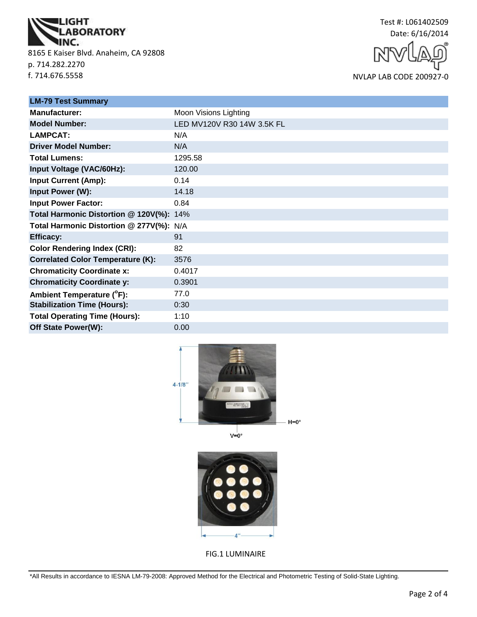

8165 E Kaiser Blvd. Anaheim, CA 92808 p. 714.282.2270 f. 714.676.5558



NVLAP LAB CODE 200927-0

| <b>LM-79 Test Summary</b>                |                            |
|------------------------------------------|----------------------------|
| Manufacturer:                            | Moon Visions Lighting      |
| <b>Model Number:</b>                     | LED MV120V R30 14W 3.5K FL |
| <b>LAMPCAT:</b>                          | N/A                        |
| <b>Driver Model Number:</b>              | N/A                        |
| <b>Total Lumens:</b>                     | 1295.58                    |
| Input Voltage (VAC/60Hz):                | 120.00                     |
| <b>Input Current (Amp):</b>              | 0.14                       |
| Input Power (W):                         | 14.18                      |
| <b>Input Power Factor:</b>               | 0.84                       |
| Total Harmonic Distortion @ 120V(%): 14% |                            |
| Total Harmonic Distortion @ 277V(%): N/A |                            |
| <b>Efficacy:</b>                         | 91                         |
| <b>Color Rendering Index (CRI):</b>      | 82                         |
| <b>Correlated Color Temperature (K):</b> | 3576                       |
| <b>Chromaticity Coordinate x:</b>        | 0.4017                     |
| <b>Chromaticity Coordinate y:</b>        | 0.3901                     |
| Ambient Temperature (°F):                | 77.0                       |
| <b>Stabilization Time (Hours):</b>       | 0:30                       |
| <b>Total Operating Time (Hours):</b>     | 1:10                       |
| Off State Power(W):                      | 0.00                       |



 $V = 0^\circ$ 



FIG.1 LUMINAIRE

\*All Results in accordance to IESNA LM-79-2008: Approved Method for the Electrical and Photometric Testing of Solid-State Lighting.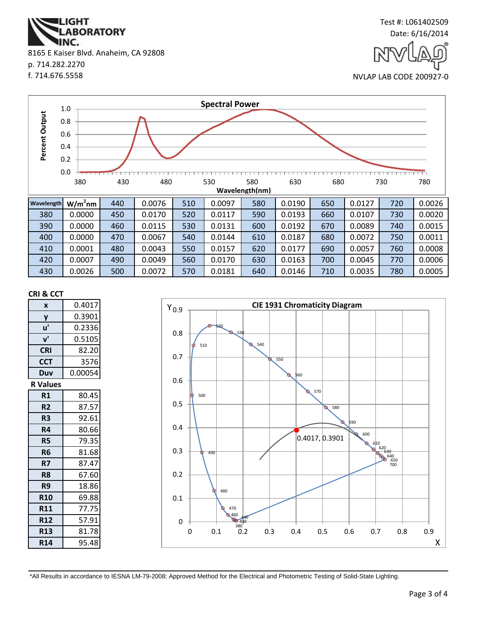\*All Results in accordance to IESNA LM-79-2008: Approved Method for the Electrical and Photometric Testing of Solid-State Lighting.



**CRI & CCT**

**x** 0.4017



|                | ⊥.∪            |     |        |     |        |     |        |     |        |     |        |
|----------------|----------------|-----|--------|-----|--------|-----|--------|-----|--------|-----|--------|
| Percent Output | 0.8            |     |        |     |        |     |        |     |        |     |        |
|                | 0.6            |     |        |     |        |     |        |     |        |     |        |
|                | 0.4            |     |        |     |        |     |        |     |        |     |        |
| 0.2            |                |     |        |     |        |     |        |     |        |     |        |
| 0.0            |                |     |        |     |        |     |        |     |        |     |        |
|                | 380            | 430 | 480    |     | 530    | 580 | 630    | 680 |        | 730 | 780    |
|                | Wavelength(nm) |     |        |     |        |     |        |     |        |     |        |
| Wavelength     | $W/m2$ nm      | 440 | 0.0076 | 510 | 0.0097 | 580 | 0.0190 | 650 | 0.0127 | 720 | 0.0026 |
| 380            | 0.0000         | 450 | 0.0170 | 520 | 0.0117 | 590 | 0.0193 | 660 | 0.0107 | 730 | 0.0020 |
| 390            | 0.0000         | 460 | 0.0115 | 530 | 0.0131 | 600 | 0.0192 | 670 | 0.0089 | 740 | 0.0015 |
| 400            | 0.0000         | 470 | 0.0067 | 540 | 0.0144 | 610 | 0.0187 | 680 | 0.0072 | 750 | 0.0011 |
| 410            | 0.0001         | 480 | 0.0043 | 550 | 0.0157 | 620 | 0.0177 | 690 | 0.0057 | 760 | 0.0008 |
| 420            | 0.0007         | 490 | 0.0049 | 560 | 0.0170 | 630 | 0.0163 | 700 | 0.0045 | 770 | 0.0006 |
| 430            | 0.0026         | 500 | 0.0072 | 570 | 0.0181 | 640 | 0.0146 | 710 | 0.0035 | 780 | 0.0005 |

**Spectral Power**

p. 714.282.2270



f. 714.676.5558

0.4 0.6 0.8 1.0



NVLAP LAB CODE 200927-0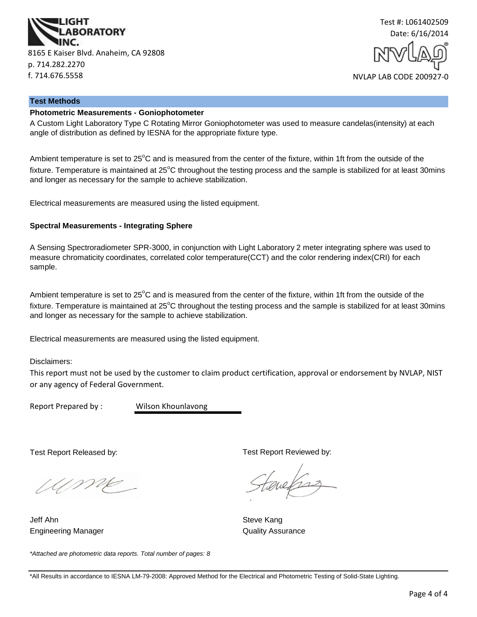



#### **Test Methods**

## **Photometric Measurements - Goniophotometer**

A Custom Light Laboratory Type C Rotating Mirror Goniophotometer was used to measure candelas(intensity) at each angle of distribution as defined by IESNA for the appropriate fixture type.

Ambient temperature is set to  $25^{\circ}$ C and is measured from the center of the fixture, within 1ft from the outside of the fixture. Temperature is maintained at  $25^{\circ}$ C throughout the testing process and the sample is stabilized for at least 30mins and longer as necessary for the sample to achieve stabilization.

Electrical measurements are measured using the listed equipment.

#### **Spectral Measurements - Integrating Sphere**

A Sensing Spectroradiometer SPR-3000, in conjunction with Light Laboratory 2 meter integrating sphere was used to measure chromaticity coordinates, correlated color temperature(CCT) and the color rendering index(CRI) for each sample.

Ambient temperature is set to  $25^{\circ}$ C and is measured from the center of the fixture, within 1ft from the outside of the fixture. Temperature is maintained at  $25^{\circ}$ C throughout the testing process and the sample is stabilized for at least 30mins and longer as necessary for the sample to achieve stabilization.

Electrical measurements are measured using the listed equipment.

Disclaimers:

This report must not be used by the customer to claim product certification, approval or endorsement by NVLAP, NIST or any agency of Federal Government.

Report Prepared by : Wilson Khounlavong

Test Report Released by:

UME

Engineering Manager **Contract Contract Contract Contract Contract Contract Contract Contract Contract Contract Contract Contract Contract Contract Contract Contract Contract Contract Contract Contract Contract Contract Con** Jeff Ahn Steve Kang

*\*Attached are photometric data reports. Total number of pages: 8*

Test Report Reviewed by:

evels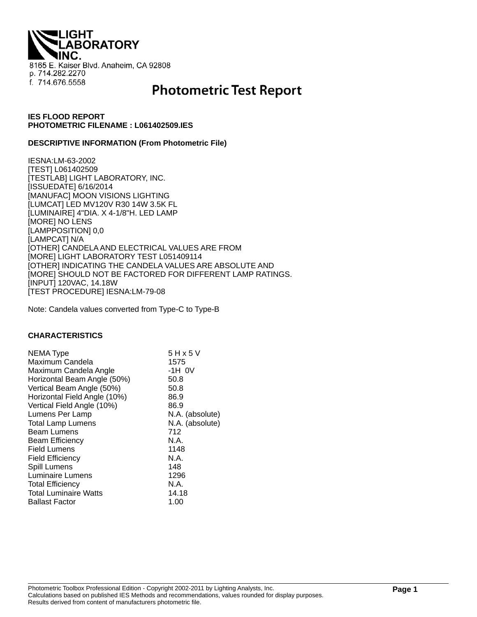**THQI. ABORATORY** 8165 E. Kaiser Blvd. Anaheim, CA 92808 p. 714.282.2270 f. 714.676.5558

# **Photometric Test Report**

## **IES FLOOD REPORT PHOTOMETRIC FILENAME : L061402509.IES**

#### **DESCRIPTIVE INFORMATION (From Photometric File)**

IESNA:LM-63-2002 [TEST] L061402509 [TESTLAB] LIGHT LABORATORY, INC. [ISSUEDATE] 6/16/2014 [MANUFAC] MOON VISIONS LIGHTING [LUMCAT] LED MV120V R30 14W 3.5K FL [LUMINAIRE] 4"DIA. X 4-1/8"H. LED LAMP [MORE] NO LENS [LAMPPOSITION] 0,0 [LAMPCAT] N/A [OTHER] CANDELA AND ELECTRICAL VALUES ARE FROM [MORE] LIGHT LABORATORY TEST L051409114 [OTHER] INDICATING THE CANDELA VALUES ARE ABSOLUTE AND [MORE] SHOULD NOT BE FACTORED FOR DIFFERENT LAMP RATINGS. [INPUT] 120VAC, 14.18W [TEST PROCEDURE] IESNA:LM-79-08

Note: Candela values converted from Type-C to Type-B

#### **CHARACTERISTICS**

| NEMA Type                    | 5 H x 5 V       |
|------------------------------|-----------------|
| Maximum Candela              | 1575            |
| Maximum Candela Angle        | -1H 0V          |
| Horizontal Beam Angle (50%)  | 50.8            |
| Vertical Beam Angle (50%)    | 50.8            |
| Horizontal Field Angle (10%) | 86.9            |
| Vertical Field Angle (10%)   | 86.9            |
| Lumens Per Lamp              | N.A. (absolute) |
| <b>Total Lamp Lumens</b>     | N.A. (absolute) |
| <b>Beam Lumens</b>           | 712             |
| <b>Beam Efficiency</b>       | N.A.            |
| <b>Field Lumens</b>          | 1148            |
| <b>Field Efficiency</b>      | N.A.            |
| Spill Lumens                 | 148             |
| <b>Luminaire Lumens</b>      | 1296            |
| <b>Total Efficiency</b>      | N.A.            |
| <b>Total Luminaire Watts</b> | 14.18           |
| <b>Ballast Factor</b>        | 1.00            |
|                              |                 |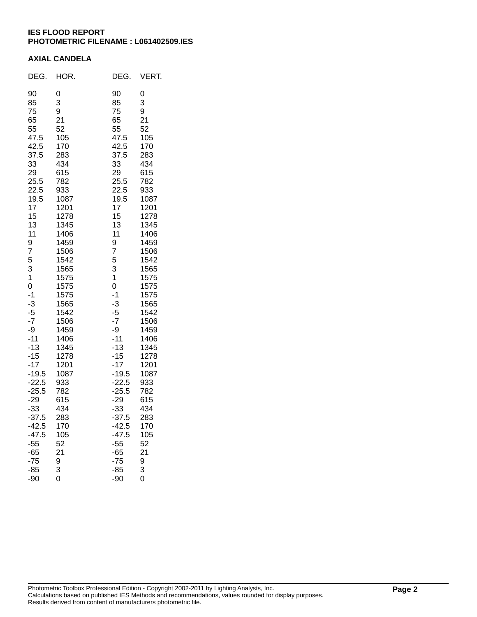## **IES FLOOD REPORT PHOTOMETRIC FILENAME : L061402509.IES**

## **AXIAL CANDELA**

| DEG.                                                                                                                                                                                                                                                                                                                                                          | HOR.                                                                                                                                                                                                                                                                                                                    | DEG.                                                                                                                                                                                                                                                                                                                                                      | VERT.                                                                                                                                                                                                                                                                                                                   |
|---------------------------------------------------------------------------------------------------------------------------------------------------------------------------------------------------------------------------------------------------------------------------------------------------------------------------------------------------------------|-------------------------------------------------------------------------------------------------------------------------------------------------------------------------------------------------------------------------------------------------------------------------------------------------------------------------|-----------------------------------------------------------------------------------------------------------------------------------------------------------------------------------------------------------------------------------------------------------------------------------------------------------------------------------------------------------|-------------------------------------------------------------------------------------------------------------------------------------------------------------------------------------------------------------------------------------------------------------------------------------------------------------------------|
| 90<br>85<br>75<br>65<br>55<br>47.5<br>42.5<br>37.5<br>33<br>29<br>25.5<br>22.5<br>19.5<br>17<br>15<br>13<br>11<br>9<br>7<br>5<br>3<br>$\mathbf 1$<br>$\overline{0}$<br>$-1$<br>$-3$<br>$-5$<br>$-7$<br>-9<br>-11<br>-13<br>-15<br>-17<br>$-19.5$<br>$-22.5$<br>$-25.5$<br>$-29$<br>$-33$<br>$-37.5$<br>$-42.5$<br>$-47.5$<br>$-55$<br>$-65$<br>$-75$<br>$-85$ | 0<br>3<br>9<br>21<br>52<br>105<br>170<br>283<br>434<br>615<br>782<br>933<br>1087<br>1201<br>1278<br>1345<br>1406<br>1459<br>1506<br>1542<br>1565<br>1575<br>1575<br>1575<br>1565<br>1542<br>1506<br>1459<br>1406<br>1345<br>1278<br>1201<br>1087<br>933<br>782<br>615<br>434<br>283<br>170<br>105<br>52<br>21<br>9<br>3 | 90<br>85<br>75<br>65<br>55<br>47.5<br>42.5<br>37.5<br>33<br>29<br>25.5<br>22.5<br>19.5<br>17<br>15<br>13<br>11<br>9<br>7<br>5<br>3<br>$\overline{1}$<br>0<br>$-1$<br>$-3$<br>$-5$<br>$-7$<br>-9<br>$-11$<br>$-13$<br>$-15$<br>$-17$<br>$-19.5$<br>$-22.5$<br>$-25.5$<br>$-29$<br>$-33$<br>$-37.5$<br>$-42.5$<br>$-47.5$<br>$-55$<br>$-65$<br>$-75$<br>-85 | 0<br>3<br>9<br>21<br>52<br>105<br>170<br>283<br>434<br>615<br>782<br>933<br>1087<br>1201<br>1278<br>1345<br>1406<br>1459<br>1506<br>1542<br>1565<br>1575<br>1575<br>1575<br>1565<br>1542<br>1506<br>1459<br>1406<br>1345<br>1278<br>1201<br>1087<br>933<br>782<br>615<br>434<br>283<br>170<br>105<br>52<br>21<br>9<br>3 |
| -90                                                                                                                                                                                                                                                                                                                                                           | $\overset{\circ}{0}$                                                                                                                                                                                                                                                                                                    | $-90$                                                                                                                                                                                                                                                                                                                                                     | 0                                                                                                                                                                                                                                                                                                                       |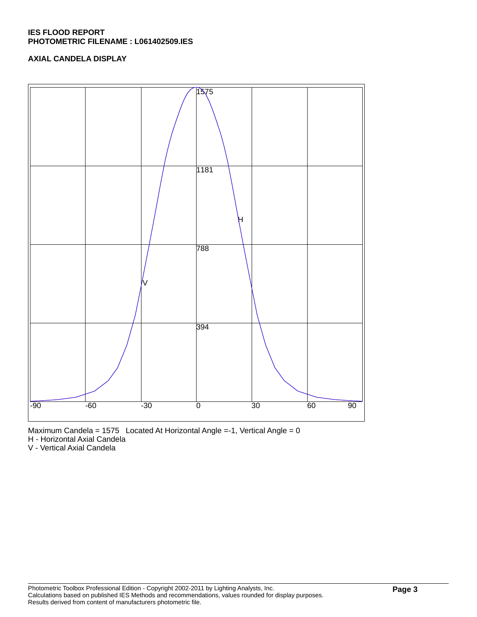## **IES FLOOD REPORT PHOTOMETRIC FILENAME : L061402509.IES**

## **AXIAL CANDELA DISPLAY**





H - Horizontal Axial Candela

V - Vertical Axial Candela